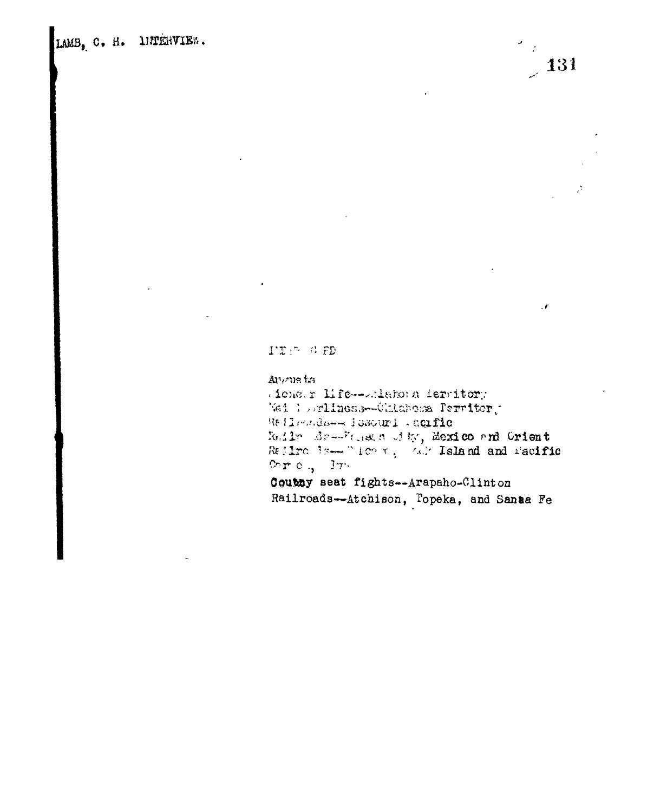LAMB, C. H. DETERVIEW.



TER GED

## Angusta

Atomar Life--Adamona leratory Nei lorliness-Ohlaboma Perritor, Relleads-- Hosouri .aqific Redirection of the Mexico and Orient<br>Redirection of the Contract Section Redirection Orro.,  $3\tau$ . Coutuy seat fights--Arapaho-Clinton

Railroads--Atchison, Topeka, and Santa Fe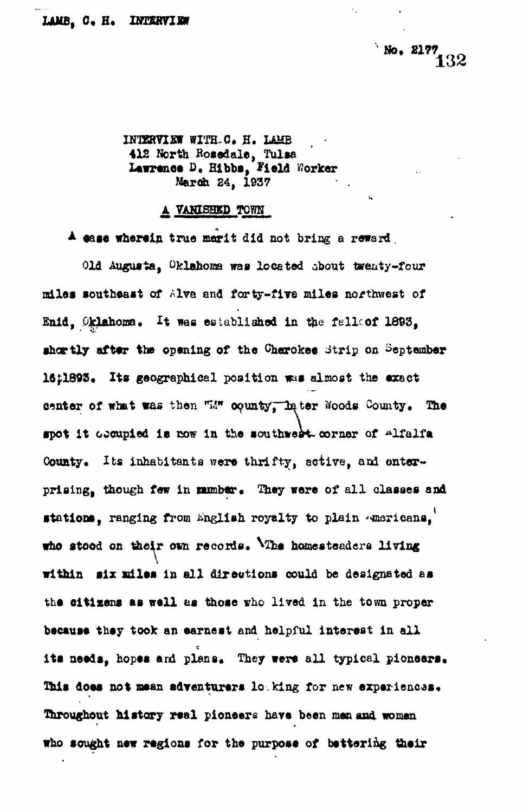**No. 2177** 

INTERVIEW WITH-C. H. LAMB **4X2 North Bosedale, Tulsa Lawrence £>• Hlbbs, Field Worker Marcfe 24, 1937**

## **A VANISHED TOWH**

**\* ease wherein true merit did not bring a reward.**

**Old Augusta, Oklahoma was located about twenty-four miles southeast of Alva and forty-five miles northwest of** Enid. Oklahoma. It was established in the falloof 1893, shortly after the opening of the Cherokee Strip on September 16:1893. Its geographical position was almost the exact center of what was then "14" county, later Woods County. The **•pot It occupied Is cow In the southwest oorner of alfalf a** County. Its inhabitants were thrifty, active, and onterprising, though few in mumber. They were of all classes and stations, ranging from English royalty to plain **\*Maticans**, who stood on their own records. The homesteaders living within six miles in all directions could be designated as **the eitlsens as well as those vhc lived in the town proper because they took an earnest and helpful interest in all** its needs, hopes and plans. They were all typical pioneers. This does not mean adventurers loaking for new experiences. **Throughout hi story real pioneers hare been man and women who sought new regions for the purpose of bettering their**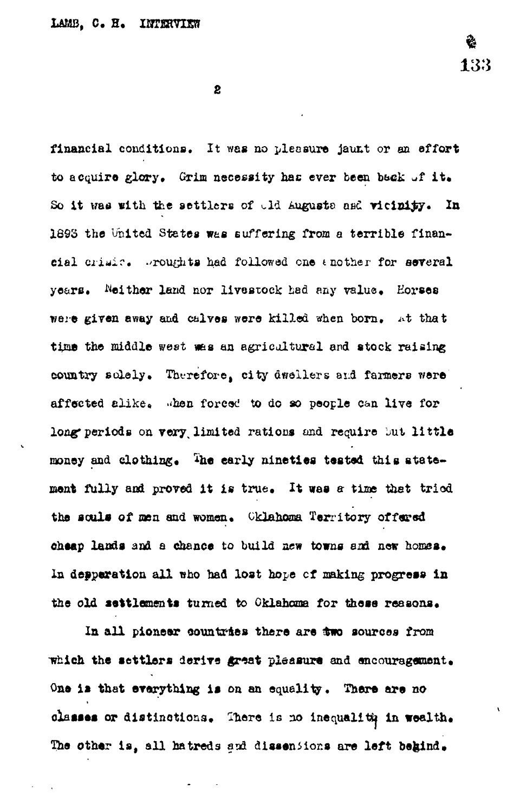$\mathbf{2}$ 

financial conditions. It was no pleasure jaunt or an effort to acquire glory. Grim necessity has ever been back of it. So it was with the settlers of ald Augusts asd vicinity. In 1893 the United States was suffering from a terrible financial crisic. Proughts had followed one enother for several years. Neither land nor livestock had any value. Horses were given away and calves were killed when born, at that time the middle west was an agricultural and stock raising country solely. Therefore, city dwellers and farmers were affected alike. When forced to do so people can live for long periods on very limited rations and require but little money and clothing. The early nineties tested this atatement fully and proved it is true. It was a time that tried the sculs of men and women. Cklahoma Territory offered cheap lands and a chance to build new towns and new homes. In depperation all who had lost hope of making progress in the old settlements turned to Oklahoma for these reasons.

In all pioneer countries there are two sources from which the settlers derive great pleasure and encouragement. One is that everything is on an equality. There are no classes or distinctions. There is no inequality in wealth. The other is, all hatreds and dissensions are left begind.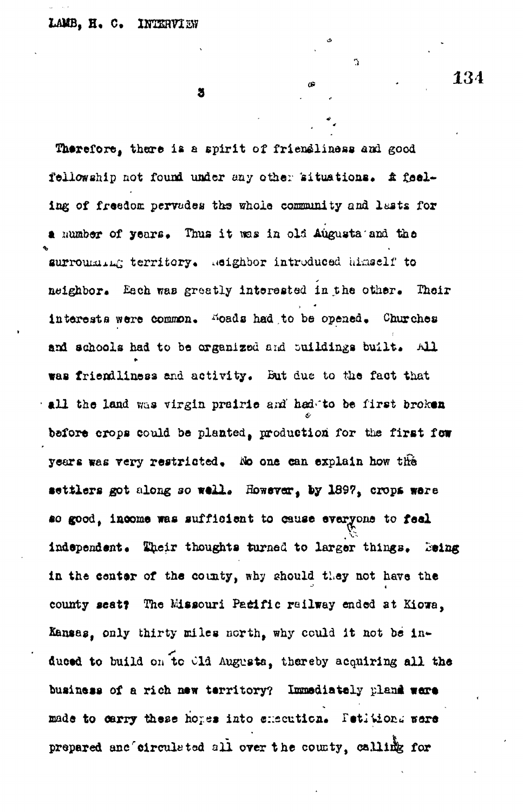$\mathbf{z}$ 

Therefore, there is a spirit of friendliness and good fellowship not found under any other 'situations\* *&* feeling of freedom pervades the whole community and lasts for a number of years. Thus it was in old Augusta and the surroumant territory. Meighbor introduced himself to neighbor. Each was greatly interacted in the other. Their interests were common. Woads had to be opened. Churches and schools had to be organized and buildings built. All was friendliness and activity. But due to the fact that all the land was virgin prairie and had to be first broken before crops could be planted, production for the first few years was very restricted, No one can explain how the settlers got along so well. However, by 1897, crops ware so good, income was sufficient to cause everyone to feel independent. Their thoughts turned to larger things. Being in the center of the county, why should they not have the county seat? The Missouri Pacific railway ended at Kiowa, Kansas, only thirty miles north, why could it not be induced to build on to Old Augusta, thereby acquiring all the business of a rich new territory? Immediately pland were made to carry these hopes into execution. Petitions were prepared anc'eirculated all over the county, calling for

ń,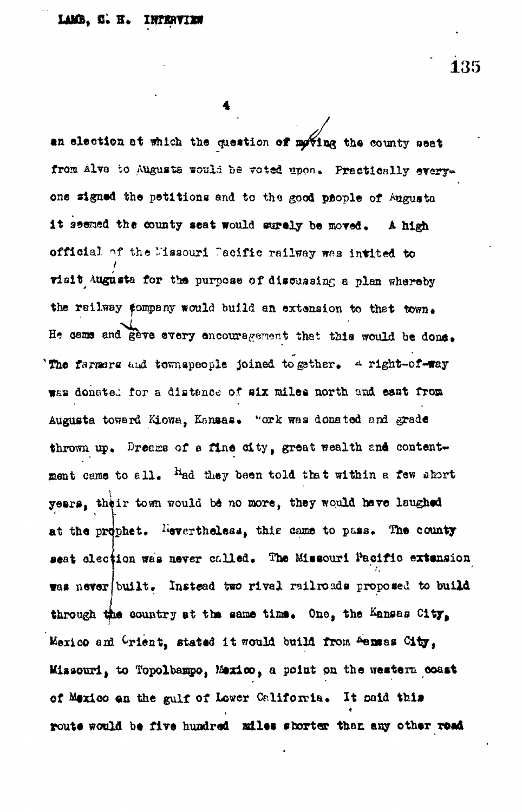135

an election at which the question of moving the county seat from Alve to Augusta would be voted upon. Practically everyone signed the petitions and to the good prople of Augusta it seemed the county seat would surely be moved. A high official of the Missouri Dacific railway was intited to visit Augusta for the purpose of discussing a plan whereby the reilway company would build an extension to that town. He came and gave every encouragement that this would be done. The farmers and townspeople joined to gether. A right-of-way was donated for a distance of six miles north and east from Augusta toward Kiowa, Kansas. "ork was donated and grade thrown up. Dreams of a fine city, great wealth and contentment came to all. Had they been told that within a few short years, their town would be no more, they would have laughed at the prophet. Hevertheless, this came to pass. The county seat clection was never called. The Missouri Pacific extension was never built. Instead two rivel railroads proposed to build through the country at the same time. One, the Kansas City, Mexico and Crient, stated it would build from Sensas City, Missouri, to Topolbampo, Mexico, a point on the western coast of Mexico an the gulf of Lower California. It maid this route would be five hundred miles shorter than any other road